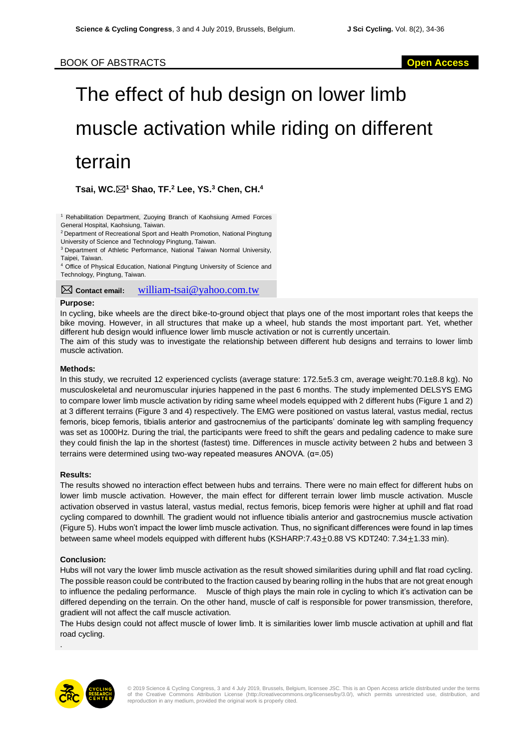# The effect of hub design on lower limb muscle activation while riding on different terrain

**Tsai, WC.<sup>1</sup> Shao, TF.<sup>2</sup> Lee, YS.<sup>3</sup> Chen, CH. 4**

<sup>1</sup> Rehabilitation Department, Zuoying Branch of Kaohsiung Armed Forces General Hospital, Kaohsiung, Taiwan.

<sup>2</sup>Department of Recreational Sport and Health Promotion, National Pingtung University of Science and Technology Pingtung, Taiwan.

<sup>3</sup> Department of Athletic Performance, National Taiwan Normal University, Taipei, Taiwan.

<sup>4</sup> Office of Physical Education, National Pingtung University of Science and Technology, Pingtung, Taiwan.

**Contact email:** william-tsai@yahoo.com.tw

### **Purpose:**

In cycling, bike wheels are the direct bike-to-ground object that plays one of the most important roles that keeps the bike moving. However, in all structures that make up a wheel, hub stands the most important part. Yet, whether different hub design would influence lower limb muscle activation or not is currently uncertain.

The aim of this study was to investigate the relationship between different hub designs and terrains to lower limb muscle activation.

#### **Methods:**

In this study, we recruited 12 experienced cyclists (average stature: 172.5±5.3 cm, average weight:70.1±8.8 kg). No musculoskeletal and neuromuscular injuries happened in the past 6 months. The study implemented DELSYS EMG to compare lower limb muscle activation by riding same wheel models equipped with 2 different hubs (Figure 1 and 2) at 3 different terrains (Figure 3 and 4) respectively. The EMG were positioned on vastus lateral, vastus medial, rectus femoris, bicep femoris, tibialis anterior and gastrocnemius of the participants' dominate leg with sampling frequency was set as 1000Hz. During the trial, the participants were freed to shift the gears and pedaling cadence to make sure they could finish the lap in the shortest (fastest) time. Differences in muscle activity between 2 hubs and between 3 terrains were determined using two-way repeated measures ANOVA. (α=.05)

## **Results:**

The results showed no interaction effect between hubs and terrains. There were no main effect for different hubs on lower limb muscle activation. However, the main effect for different terrain lower limb muscle activation. Muscle activation observed in vastus lateral, vastus medial, rectus femoris, bicep femoris were higher at uphill and flat road cycling compared to downhill. The gradient would not influence tibialis anterior and gastrocnemius muscle activation (Figure 5). Hubs won't impact the lower limb muscle activation. Thus, no significant differences were found in lap times between same wheel models equipped with different hubs (KSHARP:7.43±0.88 VS KDT240: 7.34±1.33 min).

## **Conclusion:**

Hubs will not vary the lower limb muscle activation as the result showed similarities during uphill and flat road cycling. The possible reason could be contributed to the fraction caused by bearing rolling in the hubs that are not great enough to influence the pedaling performance. Muscle of thigh plays the main role in cycling to which it's activation can be differed depending on the terrain. On the other hand, muscle of calf is responsible for power transmission, therefore, gradient will not affect the calf muscle activation.

The Hubs design could not affect muscle of lower limb. It is similarities lower limb muscle activation at uphill and flat road cycling.



.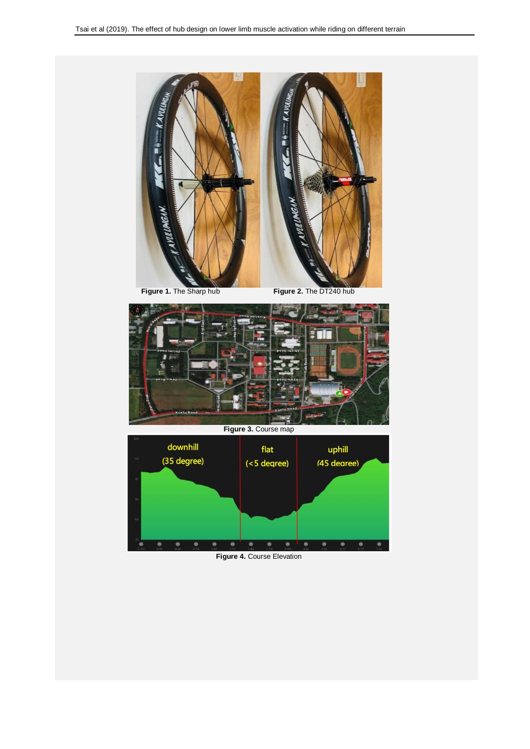



**Figure 3.** Course map



**Figure 4.** Course Elevation